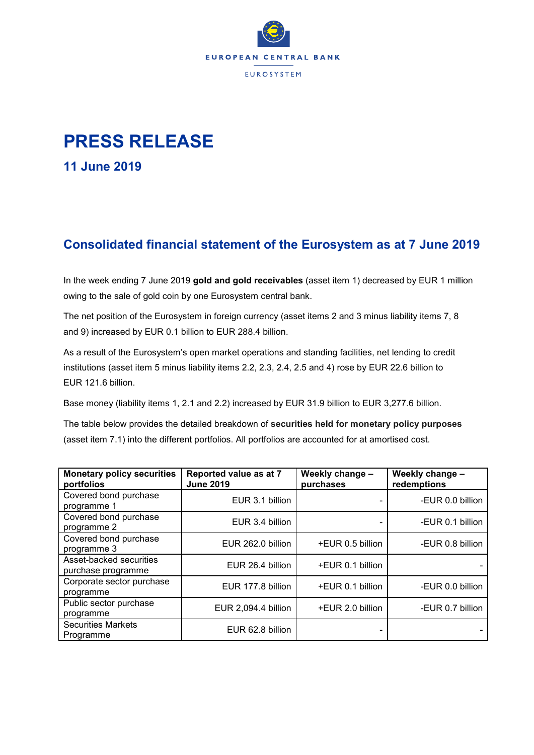

## **PRESS RELEASE**

**11 June 2019**

## **Consolidated financial statement of the Eurosystem as at 7 June 2019**

In the week ending 7 June 2019 **gold and gold receivables** (asset item 1) decreased by EUR 1 million owing to the sale of gold coin by one Eurosystem central bank.

The net position of the Eurosystem in foreign currency (asset items 2 and 3 minus liability items 7, 8 and 9) increased by EUR 0.1 billion to EUR 288.4 billion.

As a result of the Eurosystem's open market operations and standing facilities, net lending to credit institutions (asset item 5 minus liability items 2.2, 2.3, 2.4, 2.5 and 4) rose by EUR 22.6 billion to EUR 121.6 billion.

Base money (liability items 1, 2.1 and 2.2) increased by EUR 31.9 billion to EUR 3,277.6 billion.

The table below provides the detailed breakdown of **securities held for monetary policy purposes** (asset item 7.1) into the different portfolios. All portfolios are accounted for at amortised cost.

| <b>Monetary policy securities</b><br>portfolios | Reported value as at 7<br><b>June 2019</b> | Weekly change -<br>purchases | Weekly change -<br>redemptions |  |
|-------------------------------------------------|--------------------------------------------|------------------------------|--------------------------------|--|
| Covered bond purchase<br>programme 1            | EUR 3.1 billion                            | $\overline{\phantom{0}}$     | -EUR 0.0 billion               |  |
| Covered bond purchase<br>programme 2            | EUR 3.4 billion                            |                              | -EUR 0.1 billion               |  |
| Covered bond purchase<br>programme 3            | EUR 262.0 billion                          | +EUR 0.5 billion             | -EUR 0.8 billion               |  |
| Asset-backed securities<br>purchase programme   | EUR 26.4 billion                           | +EUR 0.1 billion             |                                |  |
| Corporate sector purchase<br>programme          | EUR 177.8 billion                          | +EUR 0.1 billion             | -EUR 0.0 billion               |  |
| Public sector purchase<br>programme             | EUR 2,094.4 billion                        | +EUR 2.0 billion             | -EUR 0.7 billion               |  |
| <b>Securities Markets</b><br>Programme          | EUR 62.8 billion                           |                              |                                |  |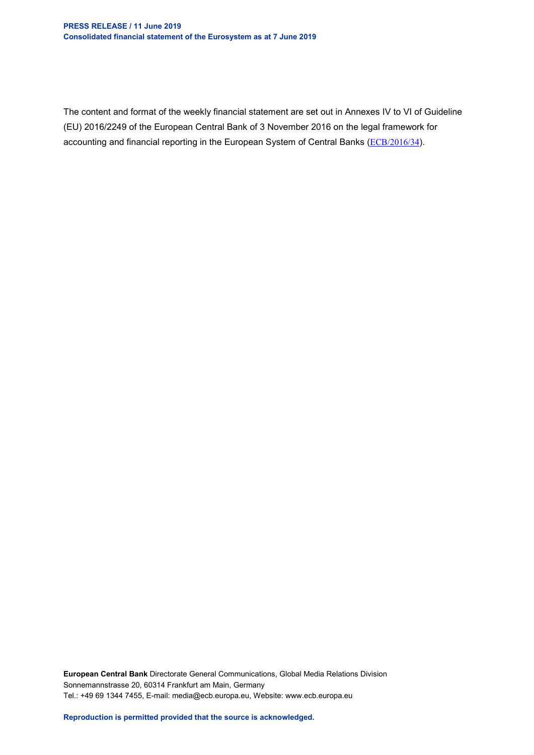The content and format of the weekly financial statement are set out in Annexes IV to VI of Guideline (EU) 2016/2249 of the European Central Bank of 3 November 2016 on the legal framework for accounting and financial reporting in the European System of Central Banks ([ECB/2016/34](http://www.ecb.europa.eu/ecb/legal/1001/1012/html/index.en.html)).

**European Central Bank** Directorate General Communications, Global Media Relations Division Sonnemannstrasse 20, 60314 Frankfurt am Main, Germany Tel.: +49 69 1344 7455, E-mail: media@ecb.europa.eu, Website: www.ecb.europa.eu